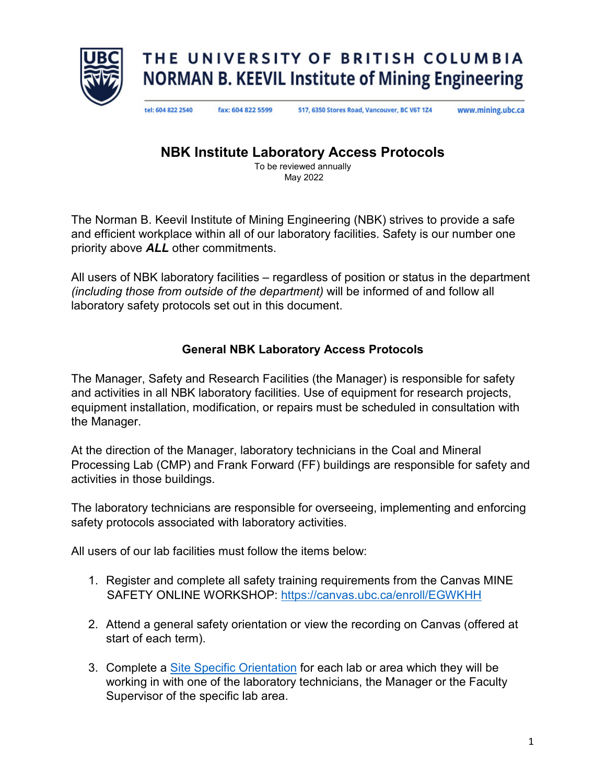

tel: 604 822 2540 fax: 604 822 5599 517, 6350 Stores Road, Vancouver, BC V6T 1Z4

www.mining.ubc.ca

### **NBK Institute Laboratory Access Protocols**

To be reviewed annually May 2022

The Norman B. Keevil Institute of Mining Engineering (NBK) strives to provide a safe and efficient workplace within all of our laboratory facilities. Safety is our number one priority above *ALL* other commitments.

All users of NBK laboratory facilities – regardless of position or status in the department *(including those from outside of the department)* will be informed of and follow all laboratory safety protocols set out in this document.

#### **General NBK Laboratory Access Protocols**

The Manager, Safety and Research Facilities (the Manager) is responsible for safety and activities in all NBK laboratory facilities. Use of equipment for research projects, equipment installation, modification, or repairs must be scheduled in consultation with the Manager.

At the direction of the Manager, laboratory technicians in the Coal and Mineral Processing Lab (CMP) and Frank Forward (FF) buildings are responsible for safety and activities in those buildings.

The laboratory technicians are responsible for overseeing, implementing and enforcing safety protocols associated with laboratory activities.

All users of our lab facilities must follow the items below:

- 1. Register and complete all safety training requirements from the Canvas MINE SAFETY ONLINE WORKSHOP: https://canvas.ubc.ca/enroll/EGWKHH
- 2. Attend a general safety orientation or view the recording on Canvas (offered at start of each term).
- 3. Complete a Site Specific Orientation for each lab or area which they will be working in with one of the laboratory technicians, the Manager or the Faculty Supervisor of the specific lab area.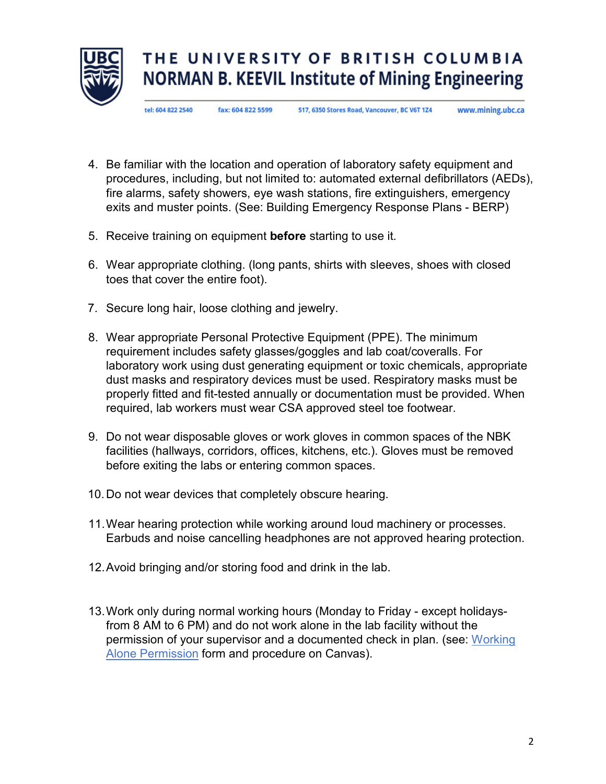

tel: 604 822 2540 fax: 604 822 5599 517, 6350 Stores Road, Vancouver, BC V6T 1Z4

www.mining.ubc.ca

- 4. Be familiar with the location and operation of laboratory safety equipment and procedures, including, but not limited to: automated external defibrillators (AEDs), fire alarms, safety showers, eye wash stations, fire extinguishers, emergency exits and muster points. (See: Building Emergency Response Plans - BERP)
- 5. Receive training on equipment **before** starting to use it.
- 6. Wear appropriate clothing. (long pants, shirts with sleeves, shoes with closed toes that cover the entire foot).
- 7. Secure long hair, loose clothing and jewelry.
- 8. Wear appropriate Personal Protective Equipment (PPE). The minimum requirement includes safety glasses/goggles and lab coat/coveralls. For laboratory work using dust generating equipment or toxic chemicals, appropriate dust masks and respiratory devices must be used. Respiratory masks must be properly fitted and fit-tested annually or documentation must be provided. When required, lab workers must wear CSA approved steel toe footwear.
- 9. Do not wear disposable gloves or work gloves in common spaces of the NBK facilities (hallways, corridors, offices, kitchens, etc.). Gloves must be removed before exiting the labs or entering common spaces.
- 10.Do not wear devices that completely obscure hearing.
- 11.Wear hearing protection while working around loud machinery or processes. Earbuds and noise cancelling headphones are not approved hearing protection.
- 12.Avoid bringing and/or storing food and drink in the lab.
- 13.Work only during normal working hours (Monday to Friday except holidaysfrom 8 AM to 6 PM) and do not work alone in the lab facility without the permission of your supervisor and a documented check in plan. (see: Working Alone Permission form and procedure on Canvas).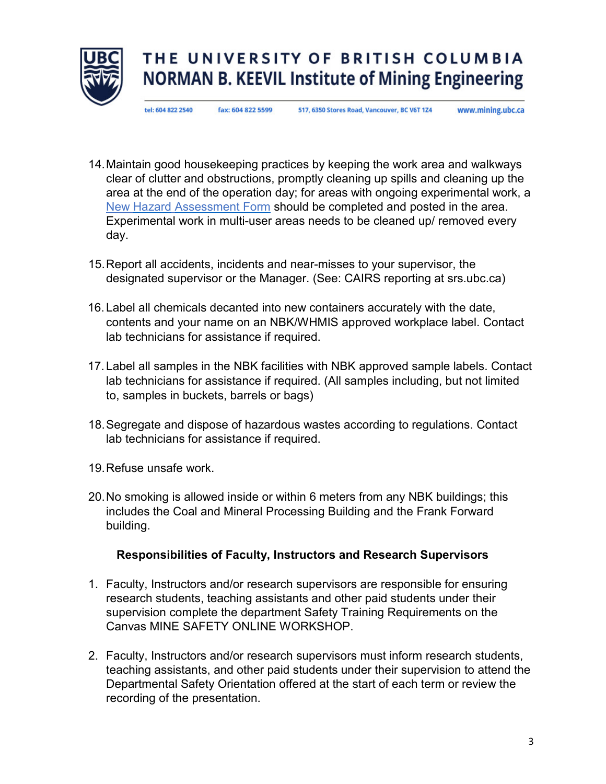

tel: 604 822 2540 fax: 604 822 5599 517, 6350 Stores Road, Vancouver, BC V6T 1Z4

www.mining.ubc.ca

- 14.Maintain good housekeeping practices by keeping the work area and walkways clear of clutter and obstructions, promptly cleaning up spills and cleaning up the area at the end of the operation day; for areas with ongoing experimental work, a New Hazard Assessment Form should be completed and posted in the area. Experimental work in multi-user areas needs to be cleaned up/ removed every day.
- 15.Report all accidents, incidents and near-misses to your supervisor, the designated supervisor or the Manager. (See: CAIRS reporting at srs.ubc.ca)
- 16. Label all chemicals decanted into new containers accurately with the date, contents and your name on an NBK/WHMIS approved workplace label. Contact lab technicians for assistance if required.
- 17. Label all samples in the NBK facilities with NBK approved sample labels. Contact lab technicians for assistance if required. (All samples including, but not limited to, samples in buckets, barrels or bags)
- 18.Segregate and dispose of hazardous wastes according to regulations. Contact lab technicians for assistance if required.
- 19.Refuse unsafe work.
- 20.No smoking is allowed inside or within 6 meters from any NBK buildings; this includes the Coal and Mineral Processing Building and the Frank Forward building.

#### **Responsibilities of Faculty, Instructors and Research Supervisors**

- 1. Faculty, Instructors and/or research supervisors are responsible for ensuring research students, teaching assistants and other paid students under their supervision complete the department Safety Training Requirements on the Canvas MINE SAFETY ONLINE WORKSHOP.
- 2. Faculty, Instructors and/or research supervisors must inform research students, teaching assistants, and other paid students under their supervision to attend the Departmental Safety Orientation offered at the start of each term or review the recording of the presentation.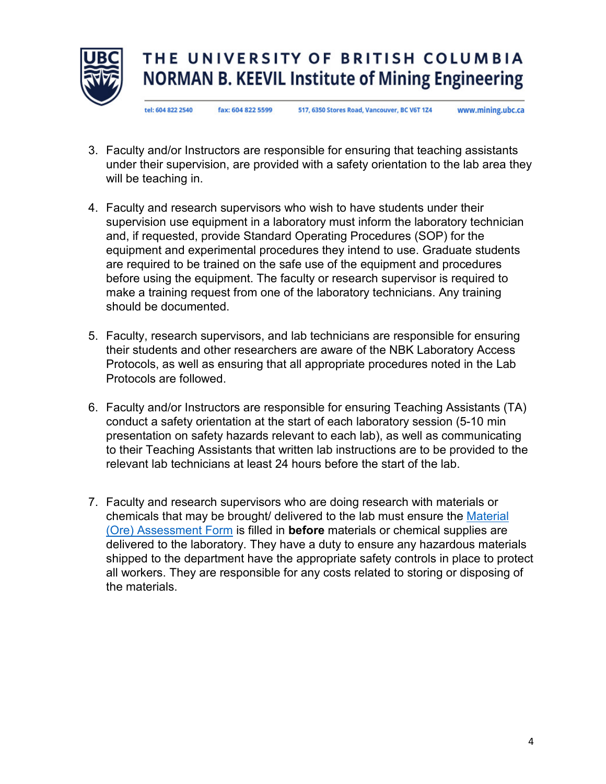

tel: 604 822 2540 fax: 604 822 5599 517, 6350 Stores Road, Vancouver, BC V6T 1Z4

www.mining.ubc.ca

- 3. Faculty and/or Instructors are responsible for ensuring that teaching assistants under their supervision, are provided with a safety orientation to the lab area they will be teaching in.
- 4. Faculty and research supervisors who wish to have students under their supervision use equipment in a laboratory must inform the laboratory technician and, if requested, provide Standard Operating Procedures (SOP) for the equipment and experimental procedures they intend to use. Graduate students are required to be trained on the safe use of the equipment and procedures before using the equipment. The faculty or research supervisor is required to make a training request from one of the laboratory technicians. Any training should be documented.
- 5. Faculty, research supervisors, and lab technicians are responsible for ensuring their students and other researchers are aware of the NBK Laboratory Access Protocols, as well as ensuring that all appropriate procedures noted in the Lab Protocols are followed.
- 6. Faculty and/or Instructors are responsible for ensuring Teaching Assistants (TA) conduct a safety orientation at the start of each laboratory session (5-10 min presentation on safety hazards relevant to each lab), as well as communicating to their Teaching Assistants that written lab instructions are to be provided to the relevant lab technicians at least 24 hours before the start of the lab.
- 7. Faculty and research supervisors who are doing research with materials or chemicals that may be brought/ delivered to the lab must ensure the Material (Ore) Assessment Form is filled in **before** materials or chemical supplies are delivered to the laboratory. They have a duty to ensure any hazardous materials shipped to the department have the appropriate safety controls in place to protect all workers. They are responsible for any costs related to storing or disposing of the materials.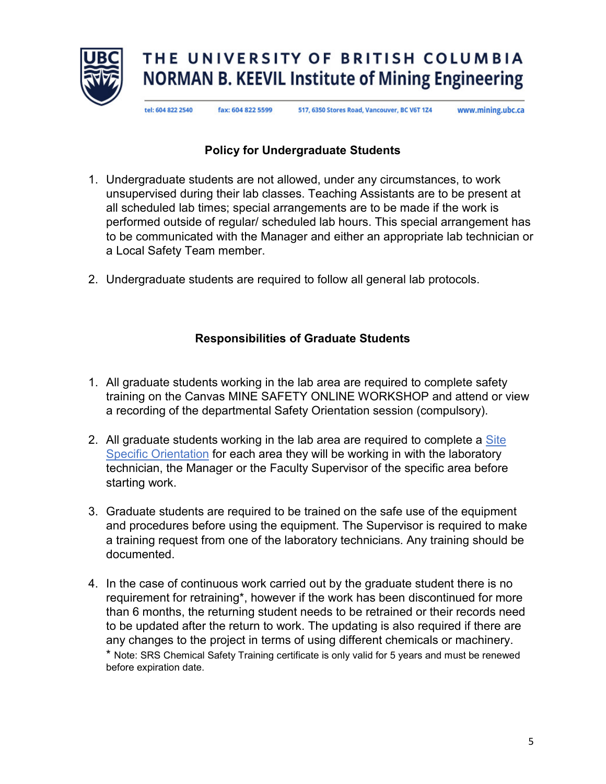

tel: 604 822 2540 fax: 604 822 5599

517, 6350 Stores Road, Vancouver, BC V6T 1Z4

www.mining.ubc.ca

#### **Policy for Undergraduate Students**

- 1. Undergraduate students are not allowed, under any circumstances, to work unsupervised during their lab classes. Teaching Assistants are to be present at all scheduled lab times; special arrangements are to be made if the work is performed outside of regular/ scheduled lab hours. This special arrangement has to be communicated with the Manager and either an appropriate lab technician or a Local Safety Team member.
- 2. Undergraduate students are required to follow all general lab protocols.

#### **Responsibilities of Graduate Students**

- 1. All graduate students working in the lab area are required to complete safety training on the Canvas MINE SAFETY ONLINE WORKSHOP and attend or view a recording of the departmental Safety Orientation session (compulsory).
- 2. All graduate students working in the lab area are required to complete a Site Specific Orientation for each area they will be working in with the laboratory technician, the Manager or the Faculty Supervisor of the specific area before starting work.
- 3. Graduate students are required to be trained on the safe use of the equipment and procedures before using the equipment. The Supervisor is required to make a training request from one of the laboratory technicians. Any training should be documented.
- 4. In the case of continuous work carried out by the graduate student there is no requirement for retraining\*, however if the work has been discontinued for more than 6 months, the returning student needs to be retrained or their records need to be updated after the return to work. The updating is also required if there are any changes to the project in terms of using different chemicals or machinery. \* Note: SRS Chemical Safety Training certificate is only valid for 5 years and must be renewed before expiration date.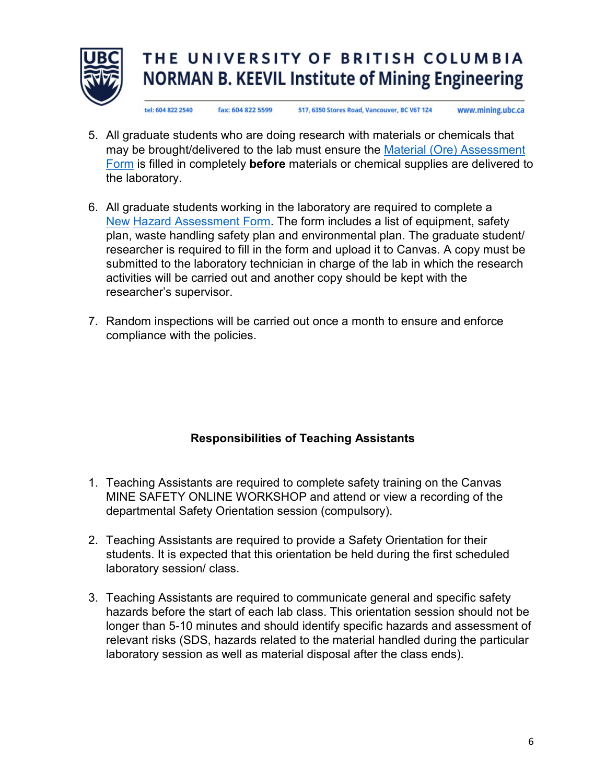

tel: 604 822 2540 fax: 604 822 5599 517, 6350 Stores Road, Vancouver, BC V6T 1Z4

www.mining.ubc.ca

- 5. All graduate students who are doing research with materials or chemicals that may be brought/delivered to the lab must ensure the Material (Ore) Assessment Form is filled in completely **before** materials or chemical supplies are delivered to the laboratory.
- 6. All graduate students working in the laboratory are required to complete a New Hazard Assessment Form. The form includes a list of equipment, safety plan, waste handling safety plan and environmental plan. The graduate student/ researcher is required to fill in the form and upload it to Canvas. A copy must be submitted to the laboratory technician in charge of the lab in which the research activities will be carried out and another copy should be kept with the researcher's supervisor.
- 7. Random inspections will be carried out once a month to ensure and enforce compliance with the policies.

### **Responsibilities of Teaching Assistants**

- 1. Teaching Assistants are required to complete safety training on the Canvas MINE SAFETY ONLINE WORKSHOP and attend or view a recording of the departmental Safety Orientation session (compulsory).
- 2. Teaching Assistants are required to provide a Safety Orientation for their students. It is expected that this orientation be held during the first scheduled laboratory session/ class.
- 3. Teaching Assistants are required to communicate general and specific safety hazards before the start of each lab class. This orientation session should not be longer than 5-10 minutes and should identify specific hazards and assessment of relevant risks (SDS, hazards related to the material handled during the particular laboratory session as well as material disposal after the class ends).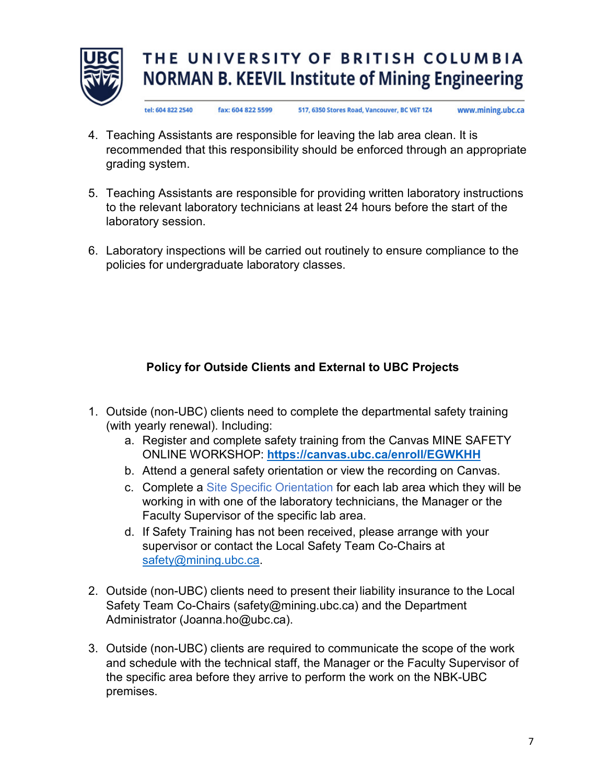

tel: 604 822 2540 fax: 604 822 5599 517, 6350 Stores Road, Vancouver, BC V6T 1Z4

```
www.mining.ubc.ca
```
- 4. Teaching Assistants are responsible for leaving the lab area clean. It is recommended that this responsibility should be enforced through an appropriate grading system.
- 5. Teaching Assistants are responsible for providing written laboratory instructions to the relevant laboratory technicians at least 24 hours before the start of the laboratory session.
- 6. Laboratory inspections will be carried out routinely to ensure compliance to the policies for undergraduate laboratory classes.

### **Policy for Outside Clients and External to UBC Projects**

- 1. Outside (non-UBC) clients need to complete the departmental safety training (with yearly renewal). Including:
	- a. Register and complete safety training from the Canvas MINE SAFETY ONLINE WORKSHOP: **https://canvas.ubc.ca/enroll/EGWKHH**
	- b. Attend a general safety orientation or view the recording on Canvas.
	- c. Complete a Site Specific Orientation for each lab area which they will be working in with one of the laboratory technicians, the Manager or the Faculty Supervisor of the specific lab area.
	- d. If Safety Training has not been received, please arrange with your supervisor or contact the Local Safety Team Co-Chairs at safety@mining.ubc.ca.
- 2. Outside (non-UBC) clients need to present their liability insurance to the Local Safety Team Co-Chairs (safety@mining.ubc.ca) and the Department Administrator (Joanna.ho@ubc.ca).
- 3. Outside (non-UBC) clients are required to communicate the scope of the work and schedule with the technical staff, the Manager or the Faculty Supervisor of the specific area before they arrive to perform the work on the NBK-UBC premises.